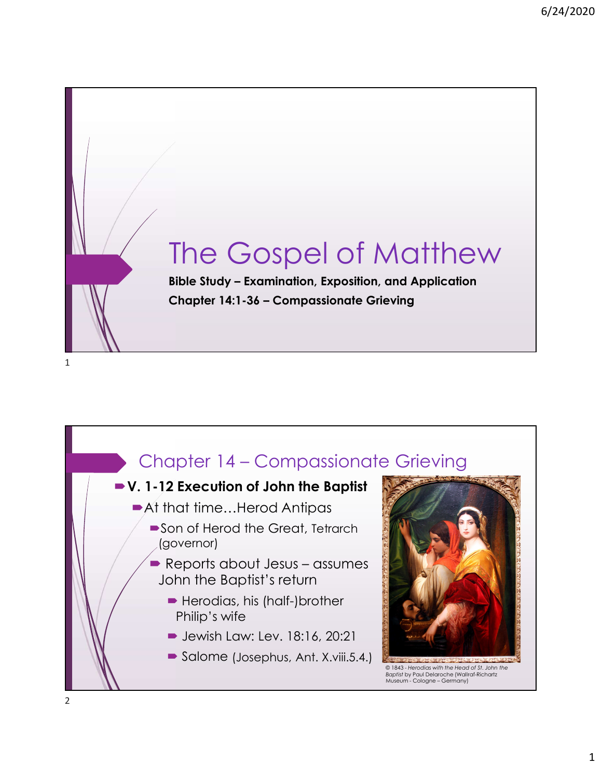



2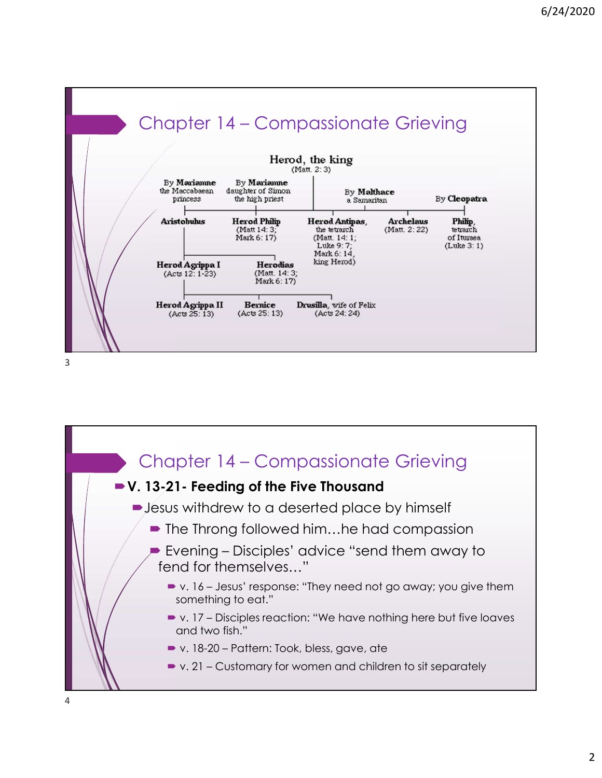